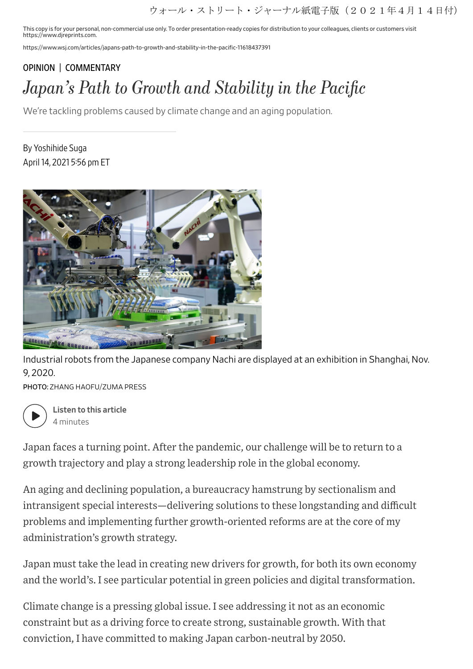ウォール・ストリート・ジャーナル紙電子版(2021年4月14日付)

This copy is for your personal, non-commercial use only. To order presentation-ready copies for distribution to your colleagues, clients or customers visit https://www.djreprints.com.

https://www.wsj.com/articles/japans-path-to-growth-and-stability-in-the-pacific-11618437391

## [OPINION](https://www.wsj.com/news/opinion?mod=breadcrumb) | [COMMENTARY](https://www.wsj.com/news/types/commentary-u-s?mod=breadcrumb) Japan's Path to Growth and Stability in the Pacific

We're tackling problems caused by climate change and an aging population.

By Yoshihide Suga April 14, 2021 5:56 pm ET



Industrial robots from the Japanese company Nachi are displayed at an exhibition in Shanghai, Nov. 9, 2020.

PHOTO: ZHANG HAOFU/ZUMA PRESS



Listen to this article 4 minutes

Japan faces a turning point. After the pandemic, our challenge will be to return to a growth trajectory and play a strong leadership role in the global economy.

An aging and declining population, a bureaucracy hamstrung by sectionalism and intransigent special interests—delivering solutions to these longstanding and difficult problems and implementing further growth-oriented reforms are at the core of my administration's growth strategy.

Japan must take the lead in creating new drivers for growth, for both its own economy and the world's. I see particular potential in green policies and digital transformation.

Climate change is a pressing global issue. I see addressing it not as an economic constraint but as a driving force to create strong, sustainable growth. With that conviction, I have committed to making Japan carbon-neutral by 2050.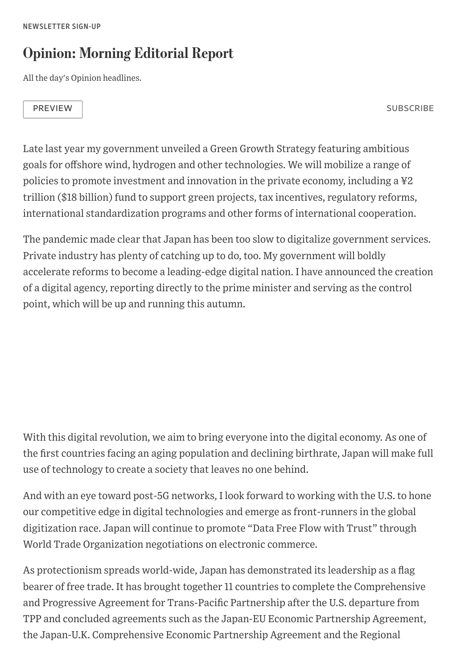## Opinion: Morning Editorial Report

All the day's Opinion headlines.

PREVIEW SUBSCRIBE

Late last year my government unveiled a Green Growth Strategy featuring ambitious goals for offshore wind, hydrogen and other technologies. We will mobilize a range of policies to promote investment and innovation in the private economy, including a ¥2 trillion (\$18 billion) fund to support green projects, tax incentives, regulatory reforms, international standardization programs and other forms of international cooperation.

The pandemic made clear that Japan has been too slow to digitalize government services. Private industry has plenty of catching up to do, too. My government will boldly accelerate reforms to become a leading-edge digital nation. I have announced the creation of a digital agency, reporting directly to the prime minister and serving as the control point, which will be up and running this autumn.

With this digital revolution, we aim to bring everyone into the digital economy. As one of the first countries facing an aging population and declining birthrate, Japan will make full use of technology to create a society that leaves no one behind.

And with an eye toward post-5G networks, I look forward to working with the U.S. to hone our competitive edge in digital technologies and emerge as front-runners in the global digitization race. Japan will continue to promote "Data Free Flow with Trust" through World Trade Organization negotiations on electronic commerce.

As protectionism spreads world-wide, Japan has demonstrated its leadership as a flag bearer of free trade. It has brought together 11 countries to complete the Comprehensive and Progressive Agreement for Trans-Pacific Partnership after the U.S. departure from TPP and concluded agreements such as the Japan-EU Economic Partnership Agreement, the Japan-U.K. Comprehensive Economic Partnership Agreement and the Regional